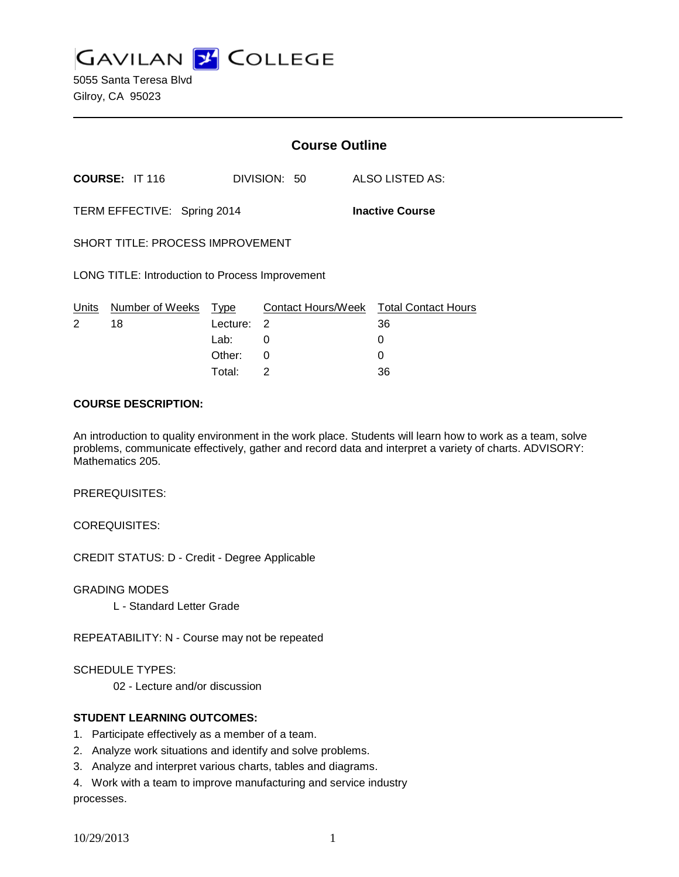**GAVILAN J COLLEGE** 

5055 Santa Teresa Blvd Gilroy, CA 95023

|                                                        |                 | <b>Course Outline</b> |              |  |                                        |
|--------------------------------------------------------|-----------------|-----------------------|--------------|--|----------------------------------------|
|                                                        | COURSE: IT 116  |                       | DIVISION: 50 |  | ALSO LISTED AS:                        |
| TERM EFFECTIVE: Spring 2014<br><b>Inactive Course</b>  |                 |                       |              |  |                                        |
| <b>SHORT TITLE: PROCESS IMPROVEMENT</b>                |                 |                       |              |  |                                        |
| <b>LONG TITLE: Introduction to Process Improvement</b> |                 |                       |              |  |                                        |
| Units                                                  | Number of Weeks | Type                  |              |  | Contact Hours/Week Total Contact Hours |
| 2                                                      | 18              | Lecture:              | 2            |  | 36                                     |
|                                                        |                 | Lab:                  | 0            |  | O                                      |
|                                                        |                 | Other:                | 0            |  |                                        |

### **COURSE DESCRIPTION:**

An introduction to quality environment in the work place. Students will learn how to work as a team, solve problems, communicate effectively, gather and record data and interpret a variety of charts. ADVISORY: Mathematics 205.

Total: 2 36

PREREQUISITES:

COREQUISITES:

CREDIT STATUS: D - Credit - Degree Applicable

GRADING MODES

L - Standard Letter Grade

REPEATABILITY: N - Course may not be repeated

SCHEDULE TYPES:

02 - Lecture and/or discussion

# **STUDENT LEARNING OUTCOMES:**

- 1. Participate effectively as a member of a team.
- 2. Analyze work situations and identify and solve problems.
- 3. Analyze and interpret various charts, tables and diagrams.

4. Work with a team to improve manufacturing and service industry processes.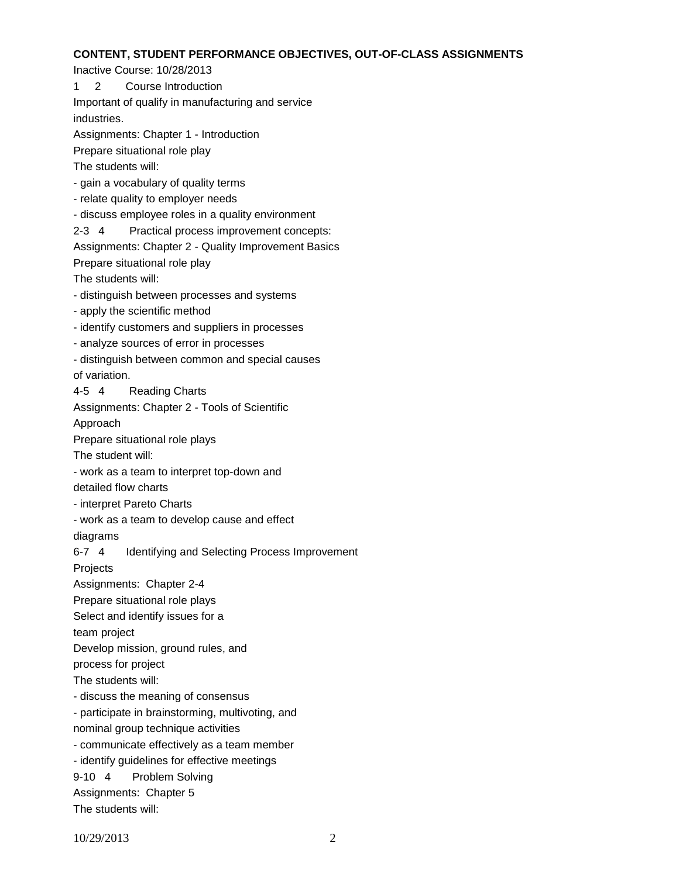#### **CONTENT, STUDENT PERFORMANCE OBJECTIVES, OUT-OF-CLASS ASSIGNMENTS**

Inactive Course: 10/28/2013

1 2 Course Introduction

Important of qualify in manufacturing and service industries.

Assignments: Chapter 1 - Introduction

Prepare situational role play

The students will:

- gain a vocabulary of quality terms

- relate quality to employer needs

- discuss employee roles in a quality environment

2-3 4 Practical process improvement concepts:

Assignments: Chapter 2 - Quality Improvement Basics

Prepare situational role play

The students will:

- distinguish between processes and systems

- apply the scientific method

- identify customers and suppliers in processes

- analyze sources of error in processes

- distinguish between common and special causes

of variation.

4-5 4 Reading Charts

Assignments: Chapter 2 - Tools of Scientific

Approach

Prepare situational role plays

The student will:

- work as a team to interpret top-down and

detailed flow charts

- interpret Pareto Charts

- work as a team to develop cause and effect

diagrams

6-7 4 Identifying and Selecting Process Improvement

Projects

Assignments: Chapter 2-4

Prepare situational role plays

Select and identify issues for a

team project

Develop mission, ground rules, and

process for project

The students will:

- discuss the meaning of consensus

- participate in brainstorming, multivoting, and

nominal group technique activities

- communicate effectively as a team member

- identify guidelines for effective meetings

9-10 4 Problem Solving

Assignments: Chapter 5

The students will: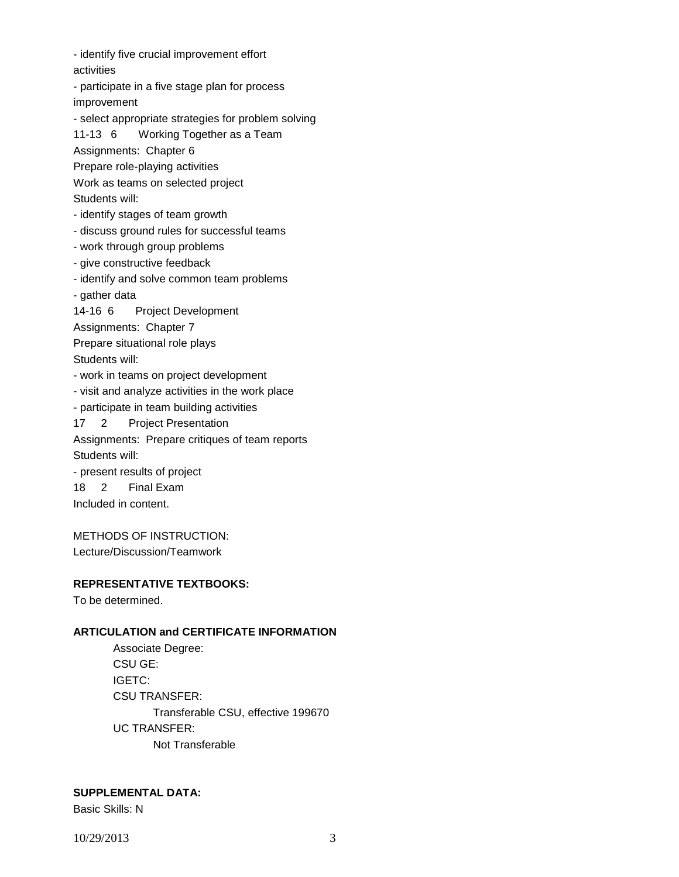- identify five crucial improvement effort activities

- participate in a five stage plan for process improvement

- select appropriate strategies for problem solving

11-13 6 Working Together as a Team

Assignments: Chapter 6

Prepare role-playing activities

Work as teams on selected project Students will:

- identify stages of team growth

- discuss ground rules for successful teams

- work through group problems

- give constructive feedback

- identify and solve common team problems

- gather data

14-16 6 Project Development

Assignments: Chapter 7

Prepare situational role plays

Students will:

- work in teams on project development

- visit and analyze activities in the work place

- participate in team building activities

17 2 Project Presentation

Assignments: Prepare critiques of team reports Students will:

- present results of project 18 2 Final Exam Included in content.

METHODS OF INSTRUCTION: Lecture/Discussion/Teamwork

# **REPRESENTATIVE TEXTBOOKS:**

To be determined.

# **ARTICULATION and CERTIFICATE INFORMATION**

Associate Degree: CSU GE: IGETC: CSU TRANSFER: Transferable CSU, effective 199670 UC TRANSFER: Not Transferable

# **SUPPLEMENTAL DATA:**

Basic Skills: N